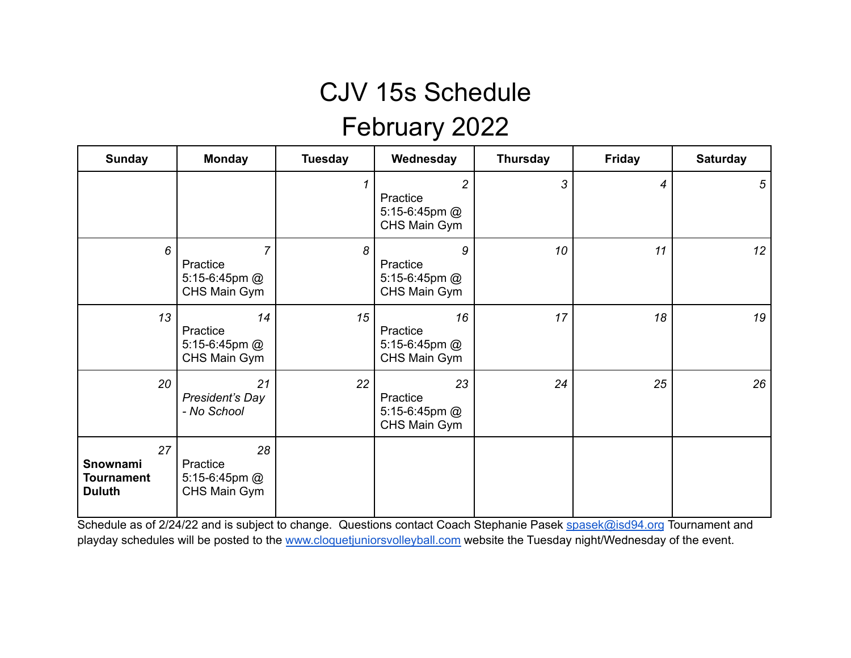#### February 2022

| <b>Sunday</b>                                        | <b>Monday</b>                                               | <b>Tuesday</b> | Wednesday                                                     | <b>Thursday</b> | <b>Friday</b> | <b>Saturday</b> |
|------------------------------------------------------|-------------------------------------------------------------|----------------|---------------------------------------------------------------|-----------------|---------------|-----------------|
|                                                      |                                                             | 1              | $\overline{2}$<br>Practice<br>5:15-6:45pm $@$<br>CHS Main Gym | 3               | 4             | $\sqrt{5}$      |
| 6                                                    | $\overline{7}$<br>Practice<br>5:15-6:45pm @<br>CHS Main Gym | 8              | 9<br>Practice<br>5:15-6:45pm @<br>CHS Main Gym                | 10              | 11            | 12              |
| 13                                                   | 14<br>Practice<br>5:15-6:45pm $@$<br>CHS Main Gym           | 15             | 16<br>Practice<br>5:15-6:45pm $@$<br>CHS Main Gym             | 17              | 18            | 19              |
| 20                                                   | 21<br>President's Day<br>- No School                        | 22             | 23<br>Practice<br>5:15-6:45pm $@$<br>CHS Main Gym             | 24              | 25            | 26              |
| 27<br>Snownami<br><b>Tournament</b><br><b>Duluth</b> | 28<br>Practice<br>5:15-6:45pm $@$<br>CHS Main Gym           |                |                                                               |                 |               |                 |

Schedule as of 2/24/22 and is subject to change. Questions contact Coach Stephanie Pasek [spasek@isd94.org](mailto:spasek@isd94.org) Tournament and playday schedules will be posted to the [www.cloquetjuniorsvolleyball.com](http://www.cloquetjuniorsvolleyball.com) website the Tuesday night/Wednesday of the event.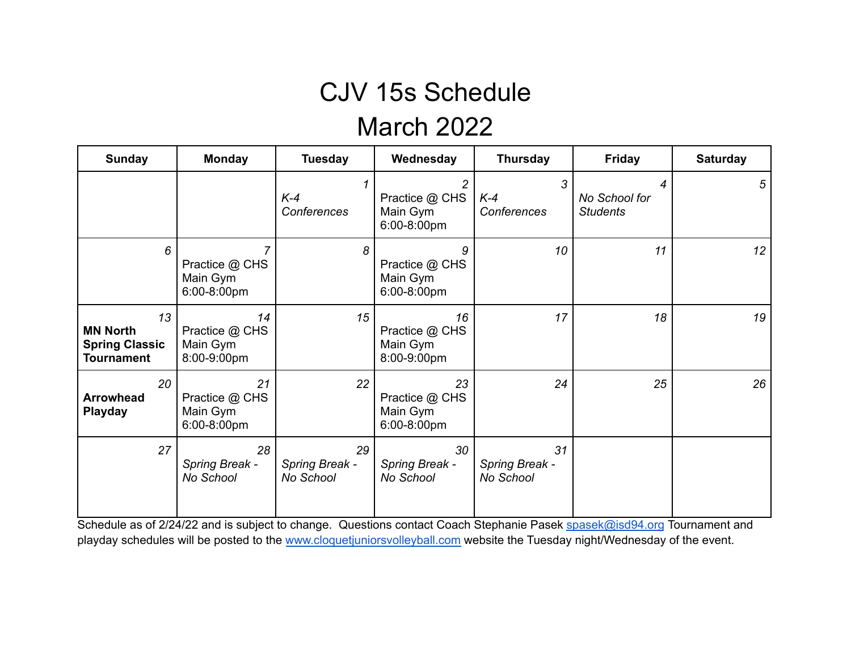#### March 2022

| <b>Sunday</b>                                                       | <b>Monday</b>                                   | <b>Tuesday</b>                    | Wednesday                                                   | <b>Thursday</b>                   | <b>Friday</b>                         | <b>Saturday</b> |
|---------------------------------------------------------------------|-------------------------------------------------|-----------------------------------|-------------------------------------------------------------|-----------------------------------|---------------------------------------|-----------------|
|                                                                     |                                                 | $K-4$<br><b>Conferences</b>       | $\overline{c}$<br>Practice @ CHS<br>Main Gym<br>6:00-8:00pm | 3<br>$K-4$<br>Conferences         | 4<br>No School for<br><b>Students</b> | 5               |
| 6                                                                   | 7<br>Practice @ CHS<br>Main Gym<br>6:00-8:00pm  | 8                                 | 9<br>Practice @ CHS<br>Main Gym<br>6:00-8:00pm              | 10                                | 11                                    | 12              |
| 13<br><b>MN North</b><br><b>Spring Classic</b><br><b>Tournament</b> | 14<br>Practice @ CHS<br>Main Gym<br>8:00-9:00pm | 15                                | 16<br>Practice @ CHS<br>Main Gym<br>8:00-9:00pm             | 17                                | 18                                    | 19              |
| 20<br><b>Arrowhead</b><br><b>Playday</b>                            | 21<br>Practice @ CHS<br>Main Gym<br>6:00-8:00pm | 22                                | 23<br>Practice @ CHS<br>Main Gym<br>6:00-8:00pm             | 24                                | 25                                    | 26              |
| 27                                                                  | 28<br>Spring Break -<br>No School               | 29<br>Spring Break -<br>No School | 30<br>Spring Break -<br>No School                           | 31<br>Spring Break -<br>No School |                                       |                 |

Schedule as of 2/24/22 and is subject to change. Questions contact Coach Stephanie Pasek [spasek@isd94.org](mailto:spasek@isd94.org) Tournament and playday schedules will be posted to the [www.cloquetjuniorsvolleyball.com](http://www.cloquetjuniorsvolleyball.com) website the Tuesday night/Wednesday of the event.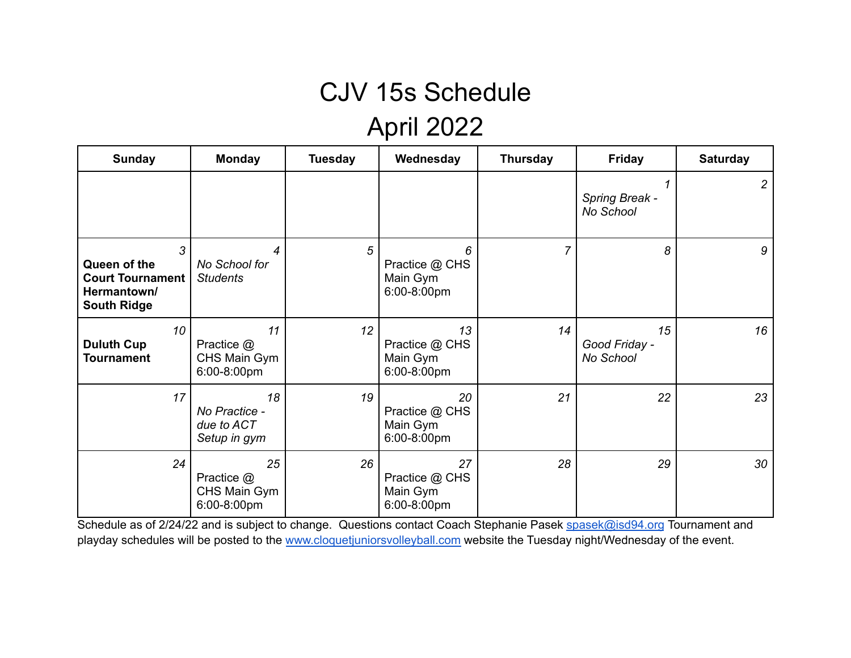## April 2022

| <b>Sunday</b>                                                                     | <b>Monday</b>                                     | <b>Tuesday</b> | Wednesday                                       | <b>Thursday</b> | <b>Friday</b>                    | <b>Saturday</b> |
|-----------------------------------------------------------------------------------|---------------------------------------------------|----------------|-------------------------------------------------|-----------------|----------------------------------|-----------------|
|                                                                                   |                                                   |                |                                                 |                 | Spring Break -<br>No School      | 2               |
| 3<br>Queen of the<br><b>Court Tournament</b><br>Hermantown/<br><b>South Ridge</b> | 4<br>No School for<br><b>Students</b>             | 5              | 6<br>Practice @ CHS<br>Main Gym<br>6:00-8:00pm  | $\overline{7}$  | 8                                | 9               |
| 10<br><b>Duluth Cup</b><br><b>Tournament</b>                                      | 11<br>Practice @<br>CHS Main Gym<br>6:00-8:00pm   | 12             | 13<br>Practice @ CHS<br>Main Gym<br>6:00-8:00pm | 14              | 15<br>Good Friday -<br>No School | 16              |
| 17                                                                                | 18<br>No Practice -<br>due to ACT<br>Setup in gym | 19             | 20<br>Practice @ CHS<br>Main Gym<br>6:00-8:00pm | 21              | 22                               | 23              |
| 24                                                                                | 25<br>Practice @<br>CHS Main Gym<br>6:00-8:00pm   | 26             | 27<br>Practice @ CHS<br>Main Gym<br>6:00-8:00pm | 28              | 29                               | 30              |

Schedule as of 2/24/22 and is subject to change. Questions contact Coach Stephanie Pasek [spasek@isd94.org](mailto:spasek@isd94.org) Tournament and playday schedules will be posted to the [www.cloquetjuniorsvolleyball.com](http://www.cloquetjuniorsvolleyball.com) website the Tuesday night/Wednesday of the event.